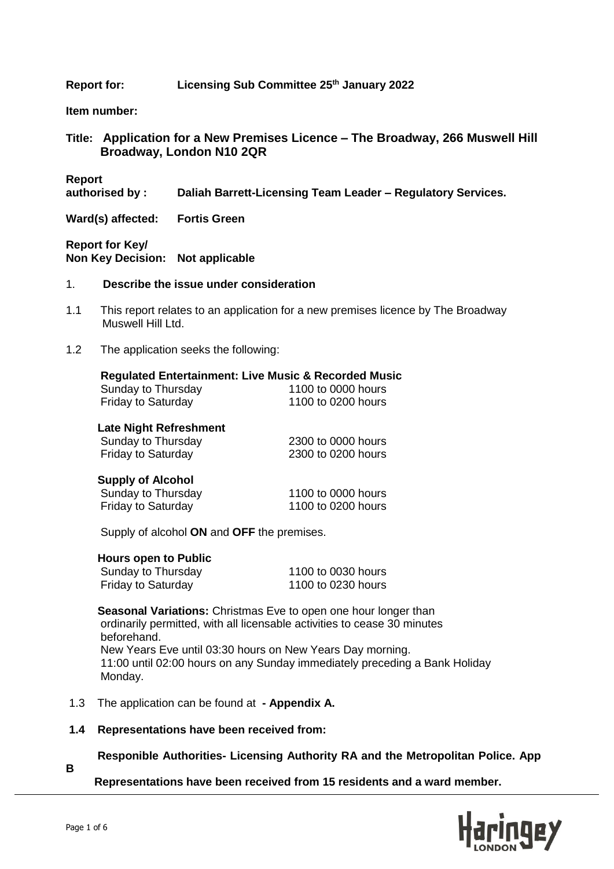**Report for: Licensing Sub Committee 25th January 2022**

**Item number:**

**Title: Application for a New Premises Licence – The Broadway, 266 Muswell Hill Broadway, London N10 2QR**

**Report** 

**authorised by : Daliah Barrett-Licensing Team Leader – Regulatory Services.**

**Ward(s) affected: Fortis Green**

**Report for Key/ Non Key Decision: Not applicable** 

- 1. **Describe the issue under consideration**
- 1.1 This report relates to an application for a new premises licence by The Broadway Muswell Hill Ltd.
- 1.2 The application seeks the following:

|                               | <b>Regulated Entertainment: Live Music &amp; Recorded Music</b> |
|-------------------------------|-----------------------------------------------------------------|
| Sunday to Thursday            | 1100 to 0000 hours                                              |
| <b>Friday to Saturday</b>     | 1100 to 0200 hours                                              |
| <b>Late Night Refreshment</b> |                                                                 |
| Sunday to Thursday            | 2300 to 0000 hours                                              |
| <b>Friday to Saturday</b>     | 2300 to 0200 hours                                              |
| <b>Supply of Alcohol</b>      |                                                                 |
| Sunday to Thursday            | 1100 to 0000 hours                                              |

Supply of alcohol **ON** and **OFF** the premises.

 **Hours open to Public**

| Sunday to Thursday        | 1100 to 0030 hours |
|---------------------------|--------------------|
| <b>Friday to Saturday</b> | 1100 to 0230 hours |

Friday to Saturday 1100 to 0200 hours

 **Seasonal Variations:** Christmas Eve to open one hour longer than ordinarily permitted, with all licensable activities to cease 30 minutes beforehand. New Years Eve until 03:30 hours on New Years Day morning. 11:00 until 02:00 hours on any Sunday immediately preceding a Bank Holiday Monday.

- 1.3 The application can be found at **- Appendix A.**
- **1.4 Representations have been received from:**
	- **Responible Authorities- Licensing Authority RA and the Metropolitan Police. App**

 **Representations have been received from 15 residents and a ward member.** 



**B**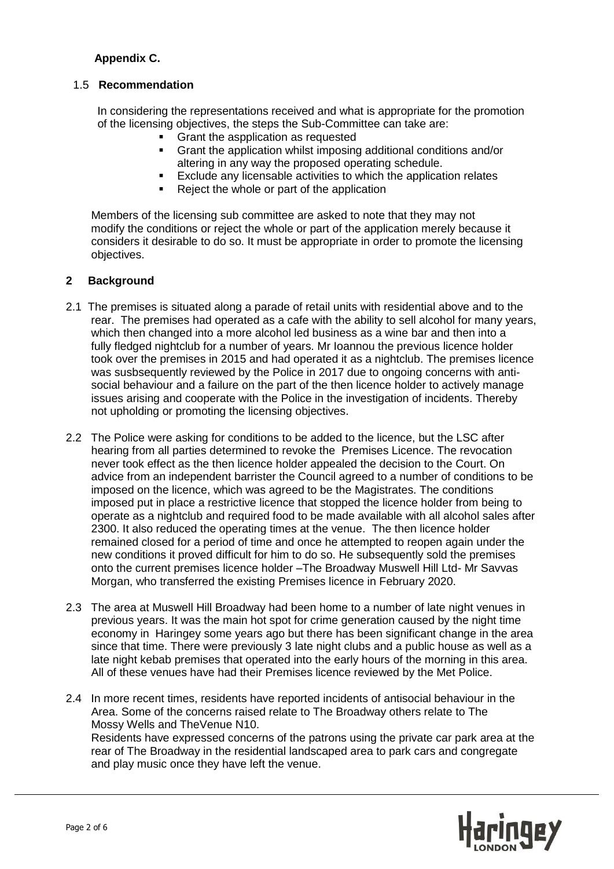# **Appendix C.**

## 1.5 **Recommendation**

 In considering the representations received and what is appropriate for the promotion of the licensing objectives, the steps the Sub-Committee can take are:

- Grant the aspplication as requested
	- Grant the application whilst imposing additional conditions and/or altering in any way the proposed operating schedule.
	- **Exclude any licensable activities to which the application relates**
	- Reject the whole or part of the application

 Members of the licensing sub committee are asked to note that they may not modify the conditions or reject the whole or part of the application merely because it considers it desirable to do so. It must be appropriate in order to promote the licensing objectives.

#### **2 Background**

- 2.1The premises is situated along a parade of retail units with residential above and to the rear. The premises had operated as a cafe with the ability to sell alcohol for many years, which then changed into a more alcohol led business as a wine bar and then into a fully fledged nightclub for a number of years. Mr Ioannou the previous licence holder took over the premises in 2015 and had operated it as a nightclub. The premises licence was susbsequently reviewed by the Police in 2017 due to ongoing concerns with anti social behaviour and a failure on the part of the then licence holder to actively manage issues arising and cooperate with the Police in the investigation of incidents. Thereby not upholding or promoting the licensing objectives.
- 2.2 The Police were asking for conditions to be added to the licence, but the LSC after hearing from all parties determined to revoke the Premises Licence. The revocation never took effect as the then licence holder appealed the decision to the Court. On advice from an independent barrister the Council agreed to a number of conditions to be imposed on the licence, which was agreed to be the Magistrates. The conditions imposed put in place a restrictive licence that stopped the licence holder from being to operate as a nightclub and required food to be made available with all alcohol sales after 2300. It also reduced the operating times at the venue. The then licence holder remained closed for a period of time and once he attempted to reopen again under the new conditions it proved difficult for him to do so. He subsequently sold the premises onto the current premises licence holder –The Broadway Muswell Hill Ltd- Mr Savvas Morgan, who transferred the existing Premises licence in February 2020.
- 2.3 The area at Muswell Hill Broadway had been home to a number of late night venues in previous years. It was the main hot spot for crime generation caused by the night time economy in Haringey some years ago but there has been significant change in the area since that time. There were previously 3 late night clubs and a public house as well as a late night kebab premises that operated into the early hours of the morning in this area. All of these venues have had their Premises licence reviewed by the Met Police.
- 2.4 In more recent times, residents have reported incidents of antisocial behaviour in the Area. Some of the concerns raised relate to The Broadway others relate to The Mossy Wells and TheVenue N10. Residents have expressed concerns of the patrons using the private car park area at the rear of The Broadway in the residential landscaped area to park cars and congregate and play music once they have left the venue.

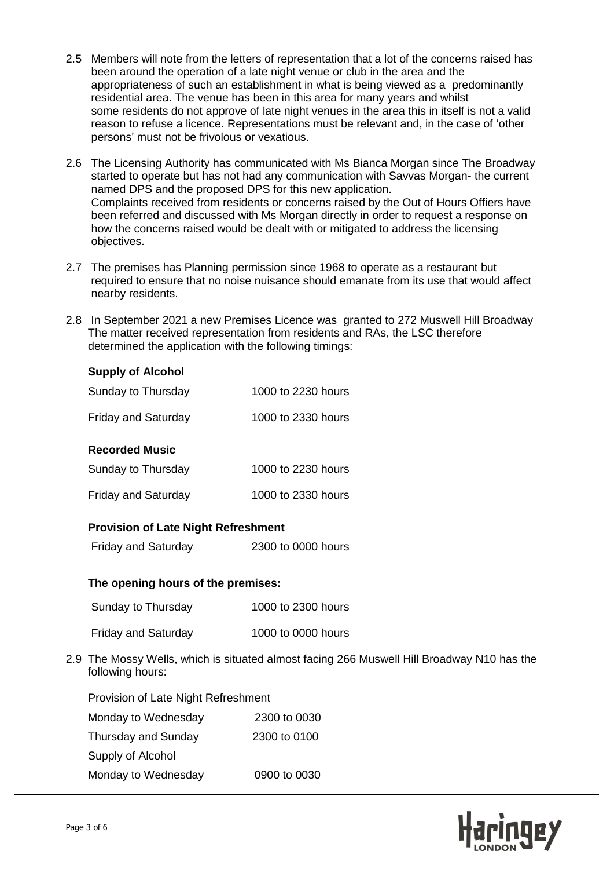- 2.5 Members will note from the letters of representation that a lot of the concerns raised has been around the operation of a late night venue or club in the area and the appropriateness of such an establishment in what is being viewed as a predominantly residential area. The venue has been in this area for many years and whilst some residents do not approve of late night venues in the area this in itself is not a valid reason to refuse a licence. Representations must be relevant and, in the case of 'other persons' must not be frivolous or vexatious.
- 2.6 The Licensing Authority has communicated with Ms Bianca Morgan since The Broadway started to operate but has not had any communication with Savvas Morgan- the current named DPS and the proposed DPS for this new application. Complaints received from residents or concerns raised by the Out of Hours Offiers have been referred and discussed with Ms Morgan directly in order to request a response on how the concerns raised would be dealt with or mitigated to address the licensing objectives.
- 2.7 The premises has Planning permission since 1968 to operate as a restaurant but required to ensure that no noise nuisance should emanate from its use that would affect nearby residents.
- 2.8 In September 2021 a new Premises Licence was granted to 272 Muswell Hill Broadway The matter received representation from residents and RAs, the LSC therefore determined the application with the following timings:

#### **Supply of Alcohol**

| <b>Recorded Music</b>      |                    |
|----------------------------|--------------------|
| <b>Friday and Saturday</b> | 1000 to 2330 hours |
| Sunday to Thursday         | 1000 to 2230 hours |

# Sunday to Thursday 1000 to 2230 hours

|  | <b>Friday and Saturday</b> | 1000 to 2330 hours |
|--|----------------------------|--------------------|
|--|----------------------------|--------------------|

# **Provision of Late Night Refreshment**

Friday and Saturday 2300 to 0000 hours

## **The opening hours of the premises:**

Sunday to Thursday 1000 to 2300 hours

Friday and Saturday 1000 to 0000 hours

2.9 The Mossy Wells, which is situated almost facing 266 Muswell Hill Broadway N10 has the following hours:

| Provision of Late Night Refreshment |  |  |
|-------------------------------------|--|--|
| 2300 to 0030                        |  |  |
| 2300 to 0100                        |  |  |
|                                     |  |  |
| 0900 to 0030                        |  |  |
|                                     |  |  |

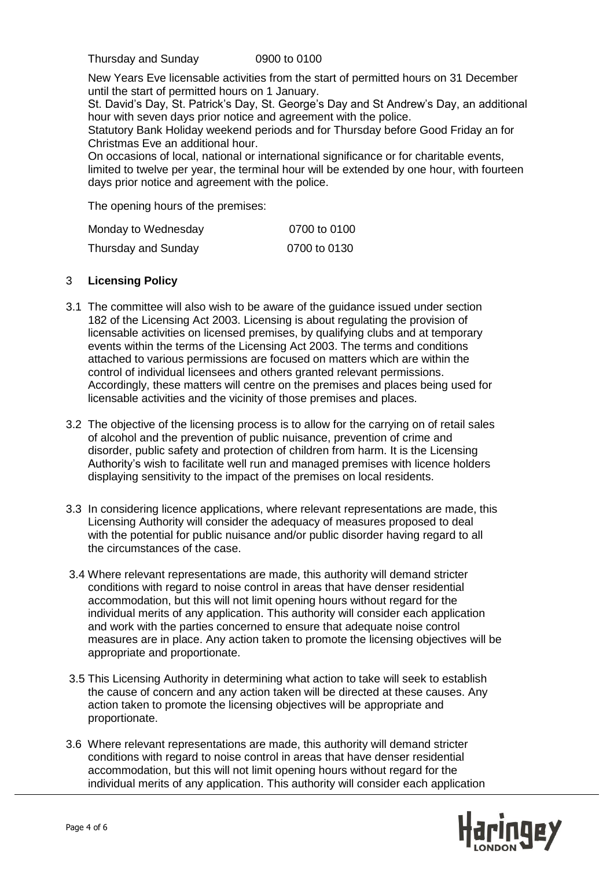Thursday and Sunday 0900 to 0100

 New Years Eve licensable activities from the start of permitted hours on 31 December until the start of permitted hours on 1 January.

 St. David's Day, St. Patrick's Day, St. George's Day and St Andrew's Day, an additional hour with seven days prior notice and agreement with the police.

 Statutory Bank Holiday weekend periods and for Thursday before Good Friday an for Christmas Eve an additional hour.

 On occasions of local, national or international significance or for charitable events, limited to twelve per year, the terminal hour will be extended by one hour, with fourteen days prior notice and agreement with the police.

The opening hours of the premises:

| Monday to Wednesday | 0700 to 0100 |
|---------------------|--------------|
| Thursday and Sunday | 0700 to 0130 |

## 3 **Licensing Policy**

- 3.1 The committee will also wish to be aware of the guidance issued under section 182 of the Licensing Act 2003. Licensing is about regulating the provision of licensable activities on licensed premises, by qualifying clubs and at temporary events within the terms of the Licensing Act 2003. The terms and conditions attached to various permissions are focused on matters which are within the control of individual licensees and others granted relevant permissions. Accordingly, these matters will centre on the premises and places being used for licensable activities and the vicinity of those premises and places.
- 3.2 The objective of the licensing process is to allow for the carrying on of retail sales of alcohol and the prevention of public nuisance, prevention of crime and disorder, public safety and protection of children from harm. It is the Licensing Authority's wish to facilitate well run and managed premises with licence holders displaying sensitivity to the impact of the premises on local residents.
- 3.3 In considering licence applications, where relevant representations are made, this Licensing Authority will consider the adequacy of measures proposed to deal with the potential for public nuisance and/or public disorder having regard to all the circumstances of the case.
- 3.4 Where relevant representations are made, this authority will demand stricter conditions with regard to noise control in areas that have denser residential accommodation, but this will not limit opening hours without regard for the individual merits of any application. This authority will consider each application and work with the parties concerned to ensure that adequate noise control measures are in place. Any action taken to promote the licensing objectives will be appropriate and proportionate.
- 3.5 This Licensing Authority in determining what action to take will seek to establish the cause of concern and any action taken will be directed at these causes. Any action taken to promote the licensing objectives will be appropriate and proportionate.
- 3.6 Where relevant representations are made, this authority will demand stricter conditions with regard to noise control in areas that have denser residential accommodation, but this will not limit opening hours without regard for the individual merits of any application. This authority will consider each application

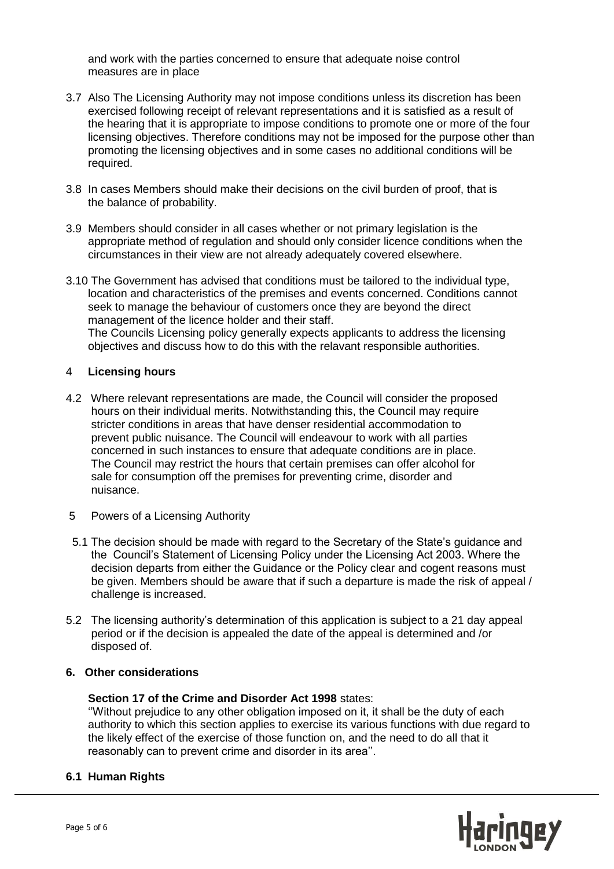and work with the parties concerned to ensure that adequate noise control measures are in place

- 3.7 Also The Licensing Authority may not impose conditions unless its discretion has been exercised following receipt of relevant representations and it is satisfied as a result of the hearing that it is appropriate to impose conditions to promote one or more of the four licensing objectives. Therefore conditions may not be imposed for the purpose other than promoting the licensing objectives and in some cases no additional conditions will be required.
- 3.8In cases Members should make their decisions on the civil burden of proof, that is the balance of probability.
- 3.9 Members should consider in all cases whether or not primary legislation is the appropriate method of regulation and should only consider licence conditions when the circumstances in their view are not already adequately covered elsewhere.
- 3.10 The Government has advised that conditions must be tailored to the individual type, location and characteristics of the premises and events concerned. Conditions cannot seek to manage the behaviour of customers once they are beyond the direct management of the licence holder and their staff. The Councils Licensing policy generally expects applicants to address the licensing objectives and discuss how to do this with the relavant responsible authorities.

## 4 **Licensing hours**

- 4.2 Where relevant representations are made, the Council will consider the proposed hours on their individual merits. Notwithstanding this, the Council may require stricter conditions in areas that have denser residential accommodation to prevent public nuisance. The Council will endeavour to work with all parties concerned in such instances to ensure that adequate conditions are in place. The Council may restrict the hours that certain premises can offer alcohol for sale for consumption off the premises for preventing crime, disorder and nuisance.
- 5 Powers of a Licensing Authority
- 5.1 The decision should be made with regard to the Secretary of the State's guidance and the Council's Statement of Licensing Policy under the Licensing Act 2003. Where the decision departs from either the Guidance or the Policy clear and cogent reasons must be given. Members should be aware that if such a departure is made the risk of appeal / challenge is increased.
- 5.2 The licensing authority's determination of this application is subject to a 21 day appeal period or if the decision is appealed the date of the appeal is determined and /or disposed of.

## **6. Other considerations**

#### **Section 17 of the Crime and Disorder Act 1998** states:

 ''Without prejudice to any other obligation imposed on it, it shall be the duty of each authority to which this section applies to exercise its various functions with due regard to the likely effect of the exercise of those function on, and the need to do all that it reasonably can to prevent crime and disorder in its area''.

## **6.1 Human Rights**